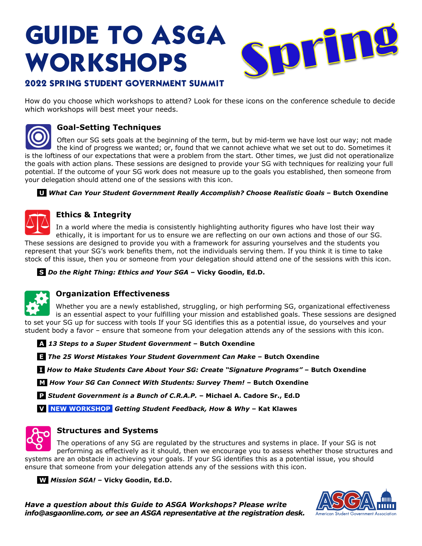# **GUIDE TO ASGA WORKSHOPS**



## **2022 SPRING STUDENT GOVERNMENT SUMMIT**

How do you choose which workshops to attend? Look for these icons on the conference schedule to decide which workshops will best meet your needs.



## **Goal-Setting Techniques**

Often our SG sets goals at the beginning of the term, but by mid-term we have lost our way; not made the kind of progress we wanted; or, found that we cannot achieve what we set out to do. Sometimes it is the loftiness of our expectations that were a problem from the start. Other times, we just did not operationalize the goals with action plans. These sessions are designed to provide your SG with techniques for realizing your full potential. If the outcome of your SG work does not measure up to the goals you established, then someone from your delegation should attend one of the sessions with this icon.

#### **U** *What Can Your Student Government Really Accomplish? Choose Realistic Goals* **– Butch Oxendine**



### **Ethics & Integrity**

In a world where the media is consistently highlighting authority figures who have lost their way ethically, it is important for us to ensure we are reflecting on our own actions and those of our SG. These sessions are designed to provide you with a framework for assuring yourselves and the students you represent that your SG's work benefits them, not the individuals serving them. If you think it is time to take stock of this issue, then you or someone from your delegation should attend one of the sessions with this icon.

 **S** *Do the Right Thing: Ethics and Your SGA* **– Vicky Goodin, Ed.D.** 



## **Organization Effectiveness**

Whether you are a newly established, struggling, or high performing SG, organizational effectiveness is an essential aspect to your fulfilling your mission and established goals. These sessions are designed to set your SG up for success with tools If your SG identifies this as a potential issue, do yourselves and your student body a favor – ensure that someone from your delegation attends any of the sessions with this icon.

 **A** *13 Steps to a Super Student Government* **– Butch Oxendine** 

 **E** *The 25 Worst Mistakes Your Student Government Can Make* **– Butch Oxendine**

 **I** *How to Make Students Care About Your SG: Create "Signature Programs"* **– Butch Oxendine**

 **M** *How Your SG Can Connect With Students: Survey Them!* **– Butch Oxendine** 

 **P** *Student Government is a Bunch of C.R.A.P.* **– Michael A. Cadore Sr., Ed.D** 

 **V NEW WORKSHOP** *Getting Student Feedback, How & Why* **– Kat Klawes** 



#### **Structures and Systems**

The operations of any SG are regulated by the structures and systems in place. If your SG is not performing as effectively as it should, then we encourage you to assess whether those structures and systems are an obstacle in achieving your goals. If your SG identifies this as a potential issue, you should ensure that someone from your delegation attends any of the sessions with this icon.

 **W** *Mission SGA!* **– Vicky Goodin, Ed.D.** 

*Have a question about this Guide to ASGA Workshops? Please write info@asgaonline.com, or see an ASGA representative at the registration desk.* 

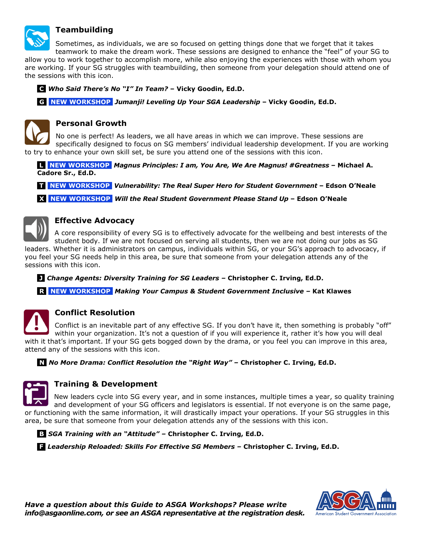

#### **Teambuilding**

Sometimes, as individuals, we are so focused on getting things done that we forget that it takes teamwork to make the dream work. These sessions are designed to enhance the "feel" of your SG to

allow you to work together to accomplish more, while also enjoying the experiences with those with whom you are working. If your SG struggles with teambuilding, then someone from your delegation should attend one of the sessions with this icon.

 **C** *Who Said There's No "I" In Team?* **– Vicky Goodin, Ed.D.** 

 **G NEW WORKSHOP** *Jumanji! Leveling Up Your SGA Leadership* **– Vicky Goodin, Ed.D.** 



No one is perfect! As leaders, we all have areas in which we can improve. These sessions are specifically designed to focus on SG members' individual leadership development. If you are working to try to enhance your own skill set, be sure you attend one of the sessions with this icon.

 **L NEW WORKSHOP** *Magnus Principles: I am, You Are, We Are Magnus! #Greatness* **– Michael A. Cadore Sr., Ed.D.** 

 **T NEW WORKSHOP** *Vulnerability: The Real Super Hero for Student Government* **– Edson O'Neale** 

 **X NEW WORKSHOP** *Will the Real Student Government Please Stand Up* **– Edson O'Neale** 



#### **Effective Advocacy**

A core responsibility of every SG is to effectively advocate for the wellbeing and best interests of the student body. If we are not focused on serving all students, then we are not doing our jobs as SG leaders. Whether it is administrators on campus, individuals within SG, or your SG's approach to advocacy, if you feel your SG needs help in this area, be sure that someone from your delegation attends any of the sessions with this icon.

 **J** *Change Agents: Diversity Training for SG Leaders –* **Christopher C. Irving, Ed.D.**

 **R NEW WORKSHOP** *Making Your Campus & Student Government Inclusive –* **Kat Klawes** 



#### **Conflict Resolution**

Conflict is an inevitable part of any effective SG. If you don't have it, then something is probably "off" within your organization. It's not a question of if you will experience it, rather it's how you will deal with it that's important. If your SG gets bogged down by the drama, or you feel you can improve in this area, attend any of the sessions with this icon.

 **N** *No More Drama: Conflict Resolution the "Right Way" –* **Christopher C. Irving, Ed.D.** 



#### **Training & Development**

New leaders cycle into SG every year, and in some instances, multiple times a year, so quality training and development of your SG officers and legislators is essential. If not everyone is on the same page, or functioning with the same information, it will drastically impact your operations. If your SG struggles in this area, be sure that someone from your delegation attends any of the sessions with this icon.

 **B** *SGA Training with an "Attitude" –* **Christopher C. Irving, Ed.D.** 

 **F** *Leadership Reloaded: Skills For Effective SG Members –* **Christopher C. Irving, Ed.D.**